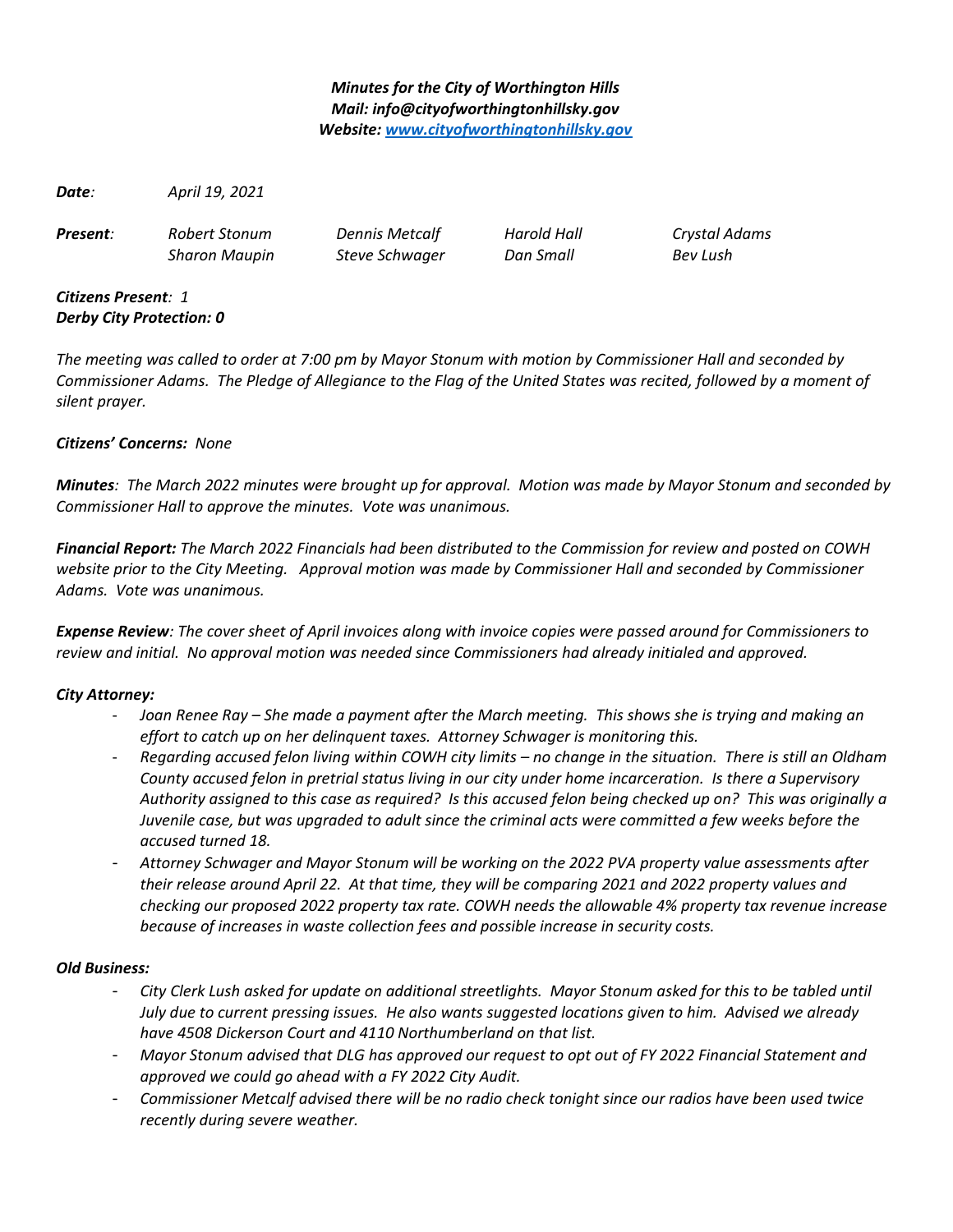# *Minutes for the City of Worthington Hills Mail: info@cityofworthingtonhillsky.gov Website: [www.cityofworthingtonhillsky.gov](http://www.cityofworthingtonhillsky.gov/)*

*Date: April 19, 2021*

*Present: Robert Stonum Dennis Metcalf Harold Hall Crystal Adams*

*Sharon Maupin Steve Schwager Dan Small Bev Lush*

### *Citizens Present: 1 Derby City Protection: 0*

*The meeting was called to order at 7:00 pm by Mayor Stonum with motion by Commissioner Hall and seconded by Commissioner Adams. The Pledge of Allegiance to the Flag of the United States was recited, followed by a moment of silent prayer.*

# *Citizens' Concerns: None*

*Minutes: The March 2022 minutes were brought up for approval. Motion was made by Mayor Stonum and seconded by Commissioner Hall to approve the minutes. Vote was unanimous.*

*Financial Report: The March 2022 Financials had been distributed to the Commission for review and posted on COWH website prior to the City Meeting. Approval motion was made by Commissioner Hall and seconded by Commissioner Adams. Vote was unanimous.*

*Expense Review: The cover sheet of April invoices along with invoice copies were passed around for Commissioners to review and initial. No approval motion was needed since Commissioners had already initialed and approved.* 

# *City Attorney:*

- *Joan Renee Ray She made a payment after the March meeting. This shows she is trying and making an effort to catch up on her delinquent taxes. Attorney Schwager is monitoring this.*
- *Regarding accused felon living within COWH city limits no change in the situation. There is still an Oldham County accused felon in pretrial status living in our city under home incarceration. Is there a Supervisory Authority assigned to this case as required? Is this accused felon being checked up on? This was originally a Juvenile case, but was upgraded to adult since the criminal acts were committed a few weeks before the accused turned 18.*
- *Attorney Schwager and Mayor Stonum will be working on the 2022 PVA property value assessments after their release around April 22. At that time, they will be comparing 2021 and 2022 property values and checking our proposed 2022 property tax rate. COWH needs the allowable 4% property tax revenue increase because of increases in waste collection fees and possible increase in security costs.*

# *Old Business:*

- *City Clerk Lush asked for update on additional streetlights. Mayor Stonum asked for this to be tabled until July due to current pressing issues. He also wants suggested locations given to him. Advised we already have 4508 Dickerson Court and 4110 Northumberland on that list.*
- *Mayor Stonum advised that DLG has approved our request to opt out of FY 2022 Financial Statement and approved we could go ahead with a FY 2022 City Audit.*
- *Commissioner Metcalf advised there will be no radio check tonight since our radios have been used twice recently during severe weather.*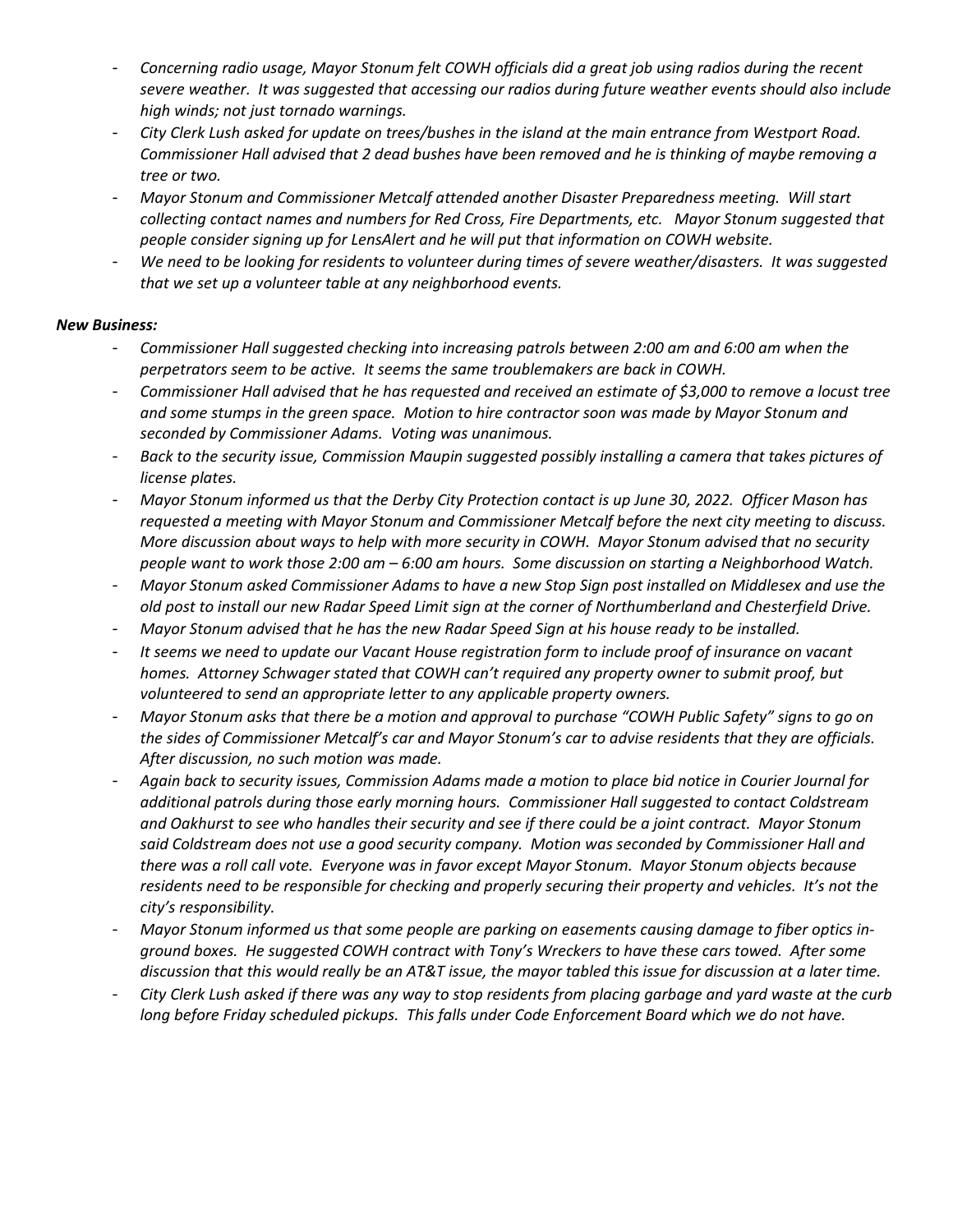- *Concerning radio usage, Mayor Stonum felt COWH officials did a great job using radios during the recent severe weather. It was suggested that accessing our radios during future weather events should also include high winds; not just tornado warnings.*
- *City Clerk Lush asked for update on trees/bushes in the island at the main entrance from Westport Road. Commissioner Hall advised that 2 dead bushes have been removed and he is thinking of maybe removing a tree or two.*
- *Mayor Stonum and Commissioner Metcalf attended another Disaster Preparedness meeting. Will start collecting contact names and numbers for Red Cross, Fire Departments, etc. Mayor Stonum suggested that people consider signing up for LensAlert and he will put that information on COWH website.*
- *We need to be looking for residents to volunteer during times of severe weather/disasters. It was suggested that we set up a volunteer table at any neighborhood events.*

### *New Business:*

- *Commissioner Hall suggested checking into increasing patrols between 2:00 am and 6:00 am when the perpetrators seem to be active. It seems the same troublemakers are back in COWH.*
- *Commissioner Hall advised that he has requested and received an estimate of \$3,000 to remove a locust tree and some stumps in the green space. Motion to hire contractor soon was made by Mayor Stonum and seconded by Commissioner Adams. Voting was unanimous.*
- *Back to the security issue, Commission Maupin suggested possibly installing a camera that takes pictures of license plates.*
- *Mayor Stonum informed us that the Derby City Protection contact is up June 30, 2022. Officer Mason has requested a meeting with Mayor Stonum and Commissioner Metcalf before the next city meeting to discuss. More discussion about ways to help with more security in COWH. Mayor Stonum advised that no security people want to work those 2:00 am – 6:00 am hours. Some discussion on starting a Neighborhood Watch.*
- *Mayor Stonum asked Commissioner Adams to have a new Stop Sign post installed on Middlesex and use the old post to install our new Radar Speed Limit sign at the corner of Northumberland and Chesterfield Drive.*
- *Mayor Stonum advised that he has the new Radar Speed Sign at his house ready to be installed.*
- *It seems we need to update our Vacant House registration form to include proof of insurance on vacant homes. Attorney Schwager stated that COWH can't required any property owner to submit proof, but volunteered to send an appropriate letter to any applicable property owners.*
- *Mayor Stonum asks that there be a motion and approval to purchase "COWH Public Safety" signs to go on the sides of Commissioner Metcalf's car and Mayor Stonum's car to advise residents that they are officials. After discussion, no such motion was made.*
- *Again back to security issues, Commission Adams made a motion to place bid notice in Courier Journal for additional patrols during those early morning hours. Commissioner Hall suggested to contact Coldstream and Oakhurst to see who handles their security and see if there could be a joint contract. Mayor Stonum said Coldstream does not use a good security company. Motion was seconded by Commissioner Hall and there was a roll call vote. Everyone was in favor except Mayor Stonum. Mayor Stonum objects because residents need to be responsible for checking and properly securing their property and vehicles. It's not the city's responsibility.*
- *Mayor Stonum informed us that some people are parking on easements causing damage to fiber optics inground boxes. He suggested COWH contract with Tony's Wreckers to have these cars towed. After some discussion that this would really be an AT&T issue, the mayor tabled this issue for discussion at a later time.*
- *City Clerk Lush asked if there was any way to stop residents from placing garbage and yard waste at the curb long before Friday scheduled pickups. This falls under Code Enforcement Board which we do not have.*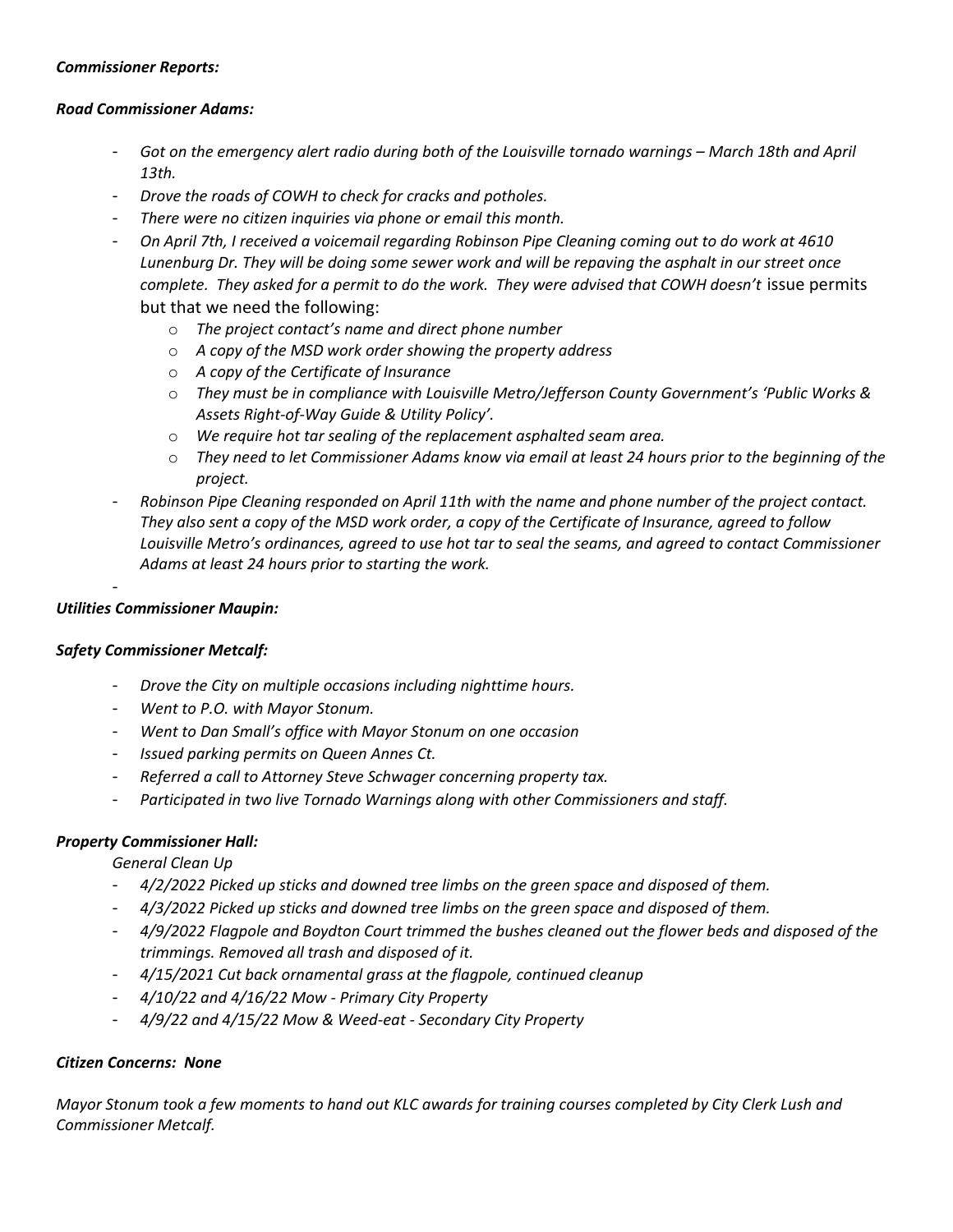#### *Commissioner Reports:*

#### *Road Commissioner Adams:*

- *Got on the emergency alert radio during both of the Louisville tornado warnings March 18th and April 13th.*
- *Drove the roads of COWH to check for cracks and potholes.*
- *There were no citizen inquiries via phone or email this month.*
- *On April 7th, I received a voicemail regarding Robinson Pipe Cleaning coming out to do work at 4610 Lunenburg Dr. They will be doing some sewer work and will be repaving the asphalt in our street once complete. They asked for a permit to do the work. They were advised that COWH doesn't* issue permits but that we need the following:
	- o *The project contact's name and direct phone number*
	- o *A copy of the MSD work order showing the property address*
	- o *A copy of the Certificate of Insurance*
	- o *They must be in compliance with Louisville Metro/Jefferson County Government's 'Public Works & Assets Right-of-Way Guide & Utility Policy'.*
	- o *We require hot tar sealing of the replacement asphalted seam area.*
	- o *They need to let Commissioner Adams know via email at least 24 hours prior to the beginning of the project.*
- *Robinson Pipe Cleaning responded on April 11th with the name and phone number of the project contact. They also sent a copy of the MSD work order, a copy of the Certificate of Insurance, agreed to follow Louisville Metro's ordinances, agreed to use hot tar to seal the seams, and agreed to contact Commissioner Adams at least 24 hours prior to starting the work.*

### *Utilities Commissioner Maupin:*

-

#### *Safety Commissioner Metcalf:*

- *Drove the City on multiple occasions including nighttime hours.*
- *Went to P.O. with Mayor Stonum.*
- *Went to Dan Small's office with Mayor Stonum on one occasion*
- *Issued parking permits on Queen Annes Ct.*
- *Referred a call to Attorney Steve Schwager concerning property tax.*
- *Participated in two live Tornado Warnings along with other Commissioners and staff.*

# *Property Commissioner Hall:*

*General Clean Up*

- *4/2/2022 Picked up sticks and downed tree limbs on the green space and disposed of them.*
- *4/3/2022 Picked up sticks and downed tree limbs on the green space and disposed of them.*
- *4/9/2022 Flagpole and Boydton Court trimmed the bushes cleaned out the flower beds and disposed of the trimmings. Removed all trash and disposed of it.*
- *4/15/2021 Cut back ornamental grass at the flagpole, continued cleanup*
- *4/10/22 and 4/16/22 Mow Primary City Property*
- *4/9/22 and 4/15/22 Mow & Weed-eat Secondary City Property*

# *Citizen Concerns: None*

*Mayor Stonum took a few moments to hand out KLC awards for training courses completed by City Clerk Lush and Commissioner Metcalf.*